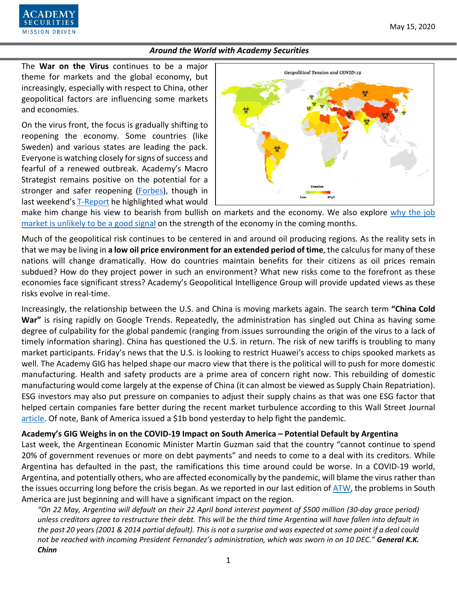

The **War on the Virus** continues to be a major theme for markets and the global economy, but increasingly, especially with respect to China, other geopolitical factors are influencing some markets and economies.

On the virus front, the focus is gradually shifting to reopening the economy. Some countries (like Sweden) and various states are leading the pack. Everyone is watching closely for signs of success and fearful of a renewed outbreak. Academy's Macro Strategist remains positive on the potential for a stronger and safer reopening [\(Forbes\)](https://www.forbes.com/sites/petertchir/2020/05/09/i-expect-a-strong-and-safe-reopening/#360379bd6a0d), though in last weekend's [T-Report](https://www.academysecurities.com/wordpress/wp-content/uploads/2020/05/What-it-Takes-to-Make-Me-Bearish.pdf) he highlighted what would



make him change his view to bearish from bullish on markets and the economy. We also explore why the job [market is unlikely to be a good signal](https://www.academysecurities.com/wordpress/wp-content/uploads/2020/05/Jobs-JCP-Credit-Cards-American-Ingenuity.pdf) on the strength of the economy in the coming months.

Much of the geopolitical risk continues to be centered in and around oil producing regions. As the reality sets in that we may be living in **a low oil price environment for an extended period of time**, the calculus for many of these nations will change dramatically. How do countries maintain benefits for their citizens as oil prices remain subdued? How do they project power in such an environment? What new risks come to the forefront as these economies face significant stress? Academy's Geopolitical Intelligence Group will provide updated views as these risks evolve in real-time.

Increasingly, the relationship between the U.S. and China is moving markets again. The search term **"China Cold War"** is rising rapidly on Google Trends. Repeatedly, the administration has singled out China as having some degree of culpability for the global pandemic (ranging from issues surrounding the origin of the virus to a lack of timely information sharing). China has questioned the U.S. in return. The risk of new tariffs is troubling to many market participants. Friday's news that the U.S. is looking to restrict Huawei's access to chips spooked markets as well. The Academy GIG has helped shape our macro view that there is the political will to push for more domestic manufacturing. Health and safety products are a prime area of concern right now. This rebuilding of domestic manufacturing would come largely at the expense of China (it can almost be viewed as Supply Chain Repatriation). ESG investors may also put pressure on companies to adjust their supply chains as that was one ESG factor that helped certain companies fare better during the recent market turbulence according to this Wall Street Journal [article.](https://www.wsj.com/articles/esg-investing-shines-in-market-turmoil-with-help-from-big-tech-11589275801?mod=hp_lead_pos11) Of note, Bank of America issued a \$1b bond yesterday to help fight the pandemic.

### **Academy's GIG Weighs in on the COVID-19 Impact on South America – Potential Default by Argentina**

Last week, the Argentinean Economic Minister Martin Guzman said that the country "cannot continue to spend 20% of government revenues or more on debt payments" and needs to come to a deal with its creditors. While Argentina has defaulted in the past, the ramifications this time around could be worse. In a COVID-19 world, Argentina, and potentially others, who are affected economically by the pandemic, will blame the virus rather than the issues occurring long before the crisis began. As we reported in our last edition of [ATW,](https://www.academysecurities.com/wordpress/wp-content/uploads/2020/05/Around-the-World-with-Academy-Securities_5-1-20.pdf) the problems in South America are just beginning and will have a significant impact on the region.

*"On 22 May, Argentina will default on their 22 April bond interest payment of \$500 million (30-day grace period) unless creditors agree to restructure their debt. This will be the third time Argentina will have fallen into default in the past 20 years (2001 & 2014 partial default). This is not a surprise and was expected at some point if a deal could not be reached with incoming President Fernandez's administration, which was sworn in on 10 DEC." General K.K. Chinn*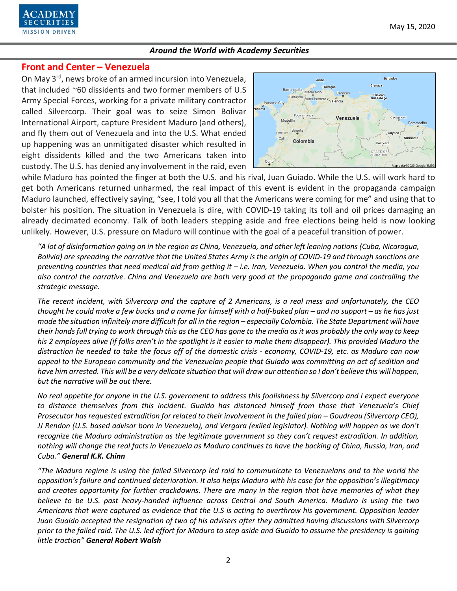

## **Front and Center – Venezuela**

On May 3rd, news broke of an armed incursion into Venezuela, that included ~60 dissidents and two former members of U.S Army Special Forces, working for a private military contractor called Silvercorp. Their goal was to seize Simon Bolivar International Airport, capture President Maduro (and others), and fly them out of Venezuela and into the U.S. What ended up happening was an unmitigated disaster which resulted in eight dissidents killed and the two Americans taken into custody. The U.S. has denied any involvement in the raid, even



while Maduro has pointed the finger at both the U.S. and his rival, Juan Guiado. While the U.S. will work hard to get both Americans returned unharmed, the real impact of this event is evident in the propaganda campaign Maduro launched, effectively saying, "see, I told you all that the Americans were coming for me" and using that to bolster his position. The situation in Venezuela is dire, with COVID-19 taking its toll and oil prices damaging an already decimated economy. Talk of both leaders stepping aside and free elections being held is now looking unlikely. However, U.S. pressure on Maduro will continue with the goal of a peaceful transition of power.

*"A lot of disinformation going on in the region as China, Venezuela, and other left leaning nations (Cuba, Nicaragua, Bolivia) are spreading the narrative that the United States Army is the origin of COVID-19 and through sanctions are preventing countries that need medical aid from getting it – i.e. Iran, Venezuela. When you control the media, you also control the narrative. China and Venezuela are both very good at the propaganda game and controlling the strategic message.* 

*The recent incident, with Silvercorp and the capture of 2 Americans, is a real mess and unfortunately, the CEO thought he could make a few bucks and a name for himself with a half-baked plan – and no support – as he has just made the situation infinitely more difficult for all in the region – especially Colombia. The State Department will have their hands full trying to work through this as the CEO has gone to the media asit was probably the only way to keep his 2 employees alive (if folks aren't in the spotlight is it easier to make them disappear). This provided Maduro the distraction he needed to take the focus off of the domestic crisis - economy, COVID-19, etc. as Maduro can now appeal to the European community and the Venezuelan people that Guiado was committing an act of sedition and have him arrested. This will be a very delicate situation that will draw our attention so I don't believe this will happen, but the narrative will be out there.*

*No real appetite for anyone in the U.S. government to address this foolishness by Silvercorp and I expect everyone to distance themselves from this incident. Guaido has distanced himself from those that Venezuela's Chief Prosecutor has requested extradition for related to their involvement in the failed plan – Goudreau (Silvercorp CEO), JJ Rendon (U.S. based advisor born in Venezuela), and Vergara (exiled legislator). Nothing will happen as we don't recognize the Maduro administration as the legitimate government so they can't request extradition. In addition, nothing will change the real facts in Venezuela as Maduro continues to have the backing of China, Russia, Iran, and Cuba." General K.K. Chinn*

*"The Maduro regime is using the failed Silvercorp led raid to communicate to Venezuelans and to the world the opposition's failure and continued deterioration. It also helps Maduro with his case for the opposition's illegitimacy and creates opportunity for further crackdowns. There are many in the region that have memories of what they believe to be U.S. past heavy-handed influence across Central and South America. Maduro is using the two Americans that were captured as evidence that the U.S is acting to overthrow his government. Opposition leader Juan Guaido accepted the resignation of two of his advisers after they admitted having discussions with Silvercorp prior to the failed raid. The U.S. led effort for Maduro to step aside and Guaido to assume the presidency is gaining little traction" General Robert Walsh*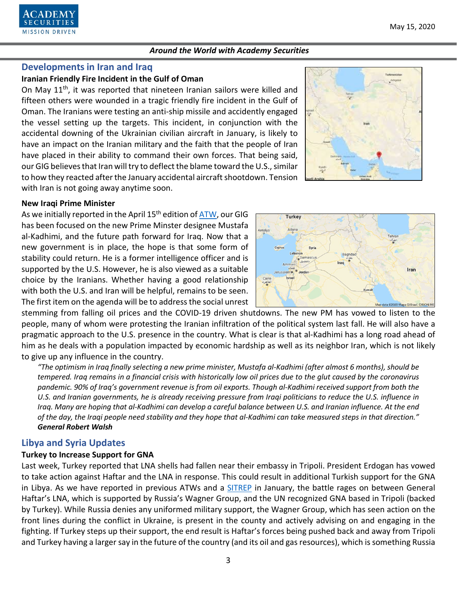

### **Developments in Iran and Iraq**

## **Iranian Friendly Fire Incident in the Gulf of Oman**

On May 11<sup>th</sup>, it was reported that nineteen Iranian sailors were killed and fifteen others were wounded in a tragic friendly fire incident in the Gulf of Oman. The Iranians were testing an anti-ship missile and accidently engaged the vessel setting up the targets. This incident, in conjunction with the accidental downing of the Ukrainian civilian aircraft in January, is likely to have an impact on the Iranian military and the faith that the people of Iran have placed in their ability to command their own forces. That being said, our GIG believes that Iran will try to deflect the blame toward the U.S., similar to how they reacted after the January accidental aircraft shootdown. Tension with Iran is not going away anytime soon.

#### **New Iraqi Prime Minister**

As we initially reported in the April 15<sup>th</sup> edition of [ATW,](https://www.academysecurities.com/wordpress/wp-content/uploads/2020/04/Around-the-World-with-Academy-Securities_4-15-20.pdf) our GIG has been focused on the new Prime Minster designee Mustafa al-Kadhimi, and the future path forward for Iraq. Now that a new government is in place, the hope is that some form of stability could return. He is a former intelligence officer and is supported by the U.S. However, he is also viewed as a suitable choice by the Iranians. Whether having a good relationship with both the U.S. and Iran will be helpful, remains to be seen. The first item on the agenda will be to address the social unrest



stemming from falling oil prices and the COVID-19 driven shutdowns. The new PM has vowed to listen to the people, many of whom were protesting the Iranian infiltration of the political system last fall. He will also have a pragmatic approach to the U.S. presence in the country. What is clear is that al-Kadhimi has a long road ahead of him as he deals with a population impacted by economic hardship as well as its neighbor Iran, which is not likely to give up any influence in the country.

*"The optimism in Iraq finally selecting a new prime minister, Mustafa al-Kadhimi (after almost 6 months), should be tempered. Iraq remains in a financial crisis with historically low oil prices due to the glut caused by the coronavirus pandemic. 90% of Iraq's government revenue is from oil exports. Though al-Kadhimi received support from both the U.S. and Iranian governments, he is already receiving pressure from Iraqi politicians to reduce the U.S. influence in Iraq. Many are hoping that al-Kadhimi can develop a careful balance between U.S. and Iranian influence. At the end of the day, the Iraqi people need stability and they hope that al-Kadhimi can take measured steps in that direction." General Robert Walsh*

### **Libya and Syria Updates**

#### **Turkey to Increase Support for GNA**

Last week, Turkey reported that LNA shells had fallen near their embassy in Tripoli. President Erdogan has vowed to take action against Haftar and the LNA in response. This could result in additional Turkish support for the GNA in Libya. As we have reported in previous ATWs and a [SITREP](https://www.academysecurities.com/vying-for-influence-in-libya/) in January, the battle rages on between General Haftar's LNA, which is supported by Russia's Wagner Group, and the UN recognized GNA based in Tripoli (backed by Turkey). While Russia denies any uniformed military support, the Wagner Group, which has seen action on the front lines during the conflict in Ukraine, is present in the county and actively advising on and engaging in the fighting. If Turkey steps up their support, the end result is Haftar's forces being pushed back and away from Tripoli and Turkey having a larger say in the future of the country (and its oil and gas resources), which is something Russia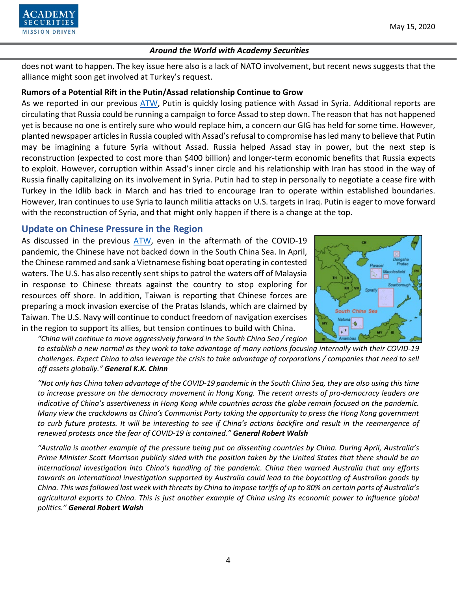

does not want to happen. The key issue here also is a lack of NATO involvement, but recent news suggests that the alliance might soon get involved at Turkey's request.

## **Rumors of a Potential Rift in the Putin/Assad relationship Continue to Grow**

As we reported in our previous [ATW,](https://www.academysecurities.com/wordpress/wp-content/uploads/2020/05/Around-the-World-with-Academy-Securities_5-1-20.pdf) Putin is quickly losing patience with Assad in Syria. Additional reports are circulating that Russia could be running a campaign to force Assad to step down. The reason that has not happened yet is because no one is entirely sure who would replace him, a concern our GIG has held for some time. However, planted newspaper articles in Russia coupled with Assad's refusal to compromise has led many to believe that Putin may be imagining a future Syria without Assad. Russia helped Assad stay in power, but the next step is reconstruction (expected to cost more than \$400 billion) and longer-term economic benefits that Russia expects to exploit. However, corruption within Assad's inner circle and his relationship with Iran has stood in the way of Russia finally capitalizing on its involvement in Syria. Putin had to step in personally to negotiate a cease fire with Turkey in the Idlib back in March and has tried to encourage Iran to operate within established boundaries. However, Iran continues to use Syria to launch militia attacks on U.S. targets in Iraq. Putin is eager to move forward with the reconstruction of Syria, and that might only happen if there is a change at the top.

# **Update on Chinese Pressure in the Region**

As discussed in the previous [ATW,](https://www.academysecurities.com/wordpress/wp-content/uploads/2020/05/Around-the-World-with-Academy-Securities_5-1-20.pdf) even in the aftermath of the COVID-19 pandemic, the Chinese have not backed down in the South China Sea. In April, the Chinese rammed and sank a Vietnamese fishing boat operating in contested waters. The U.S. has also recently sent ships to patrol the waters off of Malaysia in response to Chinese threats against the country to stop exploring for resources off shore. In addition, Taiwan is reporting that Chinese forces are preparing a mock invasion exercise of the Pratas Islands, which are claimed by Taiwan. The U.S. Navy will continue to conduct freedom of navigation exercises in the region to support its allies, but tension continues to build with China.

South China Sea Natuna ۰  $\mathbf{r}^{\mathrm{t}}$ 

*"China will continue to move aggressively forward in the South China Sea / region* 

*to establish a new normal as they work to take advantage of many nations focusing internally with their COVID-19 challenges. Expect China to also leverage the crisis to take advantage of corporations / companies that need to sell off assets globally." General K.K. Chinn*

*"Not only has China taken advantage of the COVID-19 pandemic in the South China Sea, they are also using this time to increase pressure on the democracy movement in Hong Kong. The recent arrests of pro-democracy leaders are indicative of China's assertiveness in Hong Kong while countries across the globe remain focused on the pandemic. Many view the crackdowns as China's Communist Party taking the opportunity to press the Hong Kong government to curb future protests. It will be interesting to see if China's actions backfire and result in the reemergence of renewed protests once the fear of COVID-19 is contained." General Robert Walsh*

*"Australia is another example of the pressure being put on dissenting countries by China. During April, Australia's Prime Minister Scott Morrison publicly sided with the position taken by the United States that there should be an international investigation into China's handling of the pandemic. China then warned Australia that any efforts towards an international investigation supported by Australia could lead to the boycotting of Australian goods by China. This was followed last week with threats by China to impose tariffs of up to 80% on certain parts of Australia's agricultural exports to China. This is just another example of China using its economic power to influence global politics." General Robert Walsh*